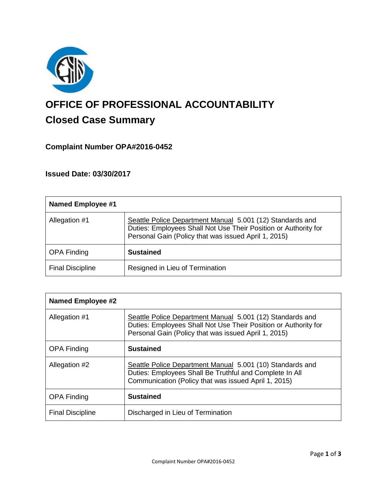

# **OFFICE OF PROFESSIONAL ACCOUNTABILITY Closed Case Summary**

## **Complaint Number OPA#2016-0452**

**Issued Date: 03/30/2017**

| <b>Named Employee #1</b> |                                                                                                                                                                                      |
|--------------------------|--------------------------------------------------------------------------------------------------------------------------------------------------------------------------------------|
| Allegation #1            | Seattle Police Department Manual 5.001 (12) Standards and<br>Duties: Employees Shall Not Use Their Position or Authority for<br>Personal Gain (Policy that was issued April 1, 2015) |
| <b>OPA Finding</b>       | <b>Sustained</b>                                                                                                                                                                     |
| <b>Final Discipline</b>  | Resigned in Lieu of Termination                                                                                                                                                      |

| <b>Named Employee #2</b> |                                                                                                                                                                                      |
|--------------------------|--------------------------------------------------------------------------------------------------------------------------------------------------------------------------------------|
| Allegation #1            | Seattle Police Department Manual 5.001 (12) Standards and<br>Duties: Employees Shall Not Use Their Position or Authority for<br>Personal Gain (Policy that was issued April 1, 2015) |
| <b>OPA Finding</b>       | <b>Sustained</b>                                                                                                                                                                     |
| Allegation #2            | Seattle Police Department Manual 5.001 (10) Standards and<br>Duties: Employees Shall Be Truthful and Complete In All<br>Communication (Policy that was issued April 1, 2015)         |
| <b>OPA Finding</b>       | <b>Sustained</b>                                                                                                                                                                     |
| <b>Final Discipline</b>  | Discharged in Lieu of Termination                                                                                                                                                    |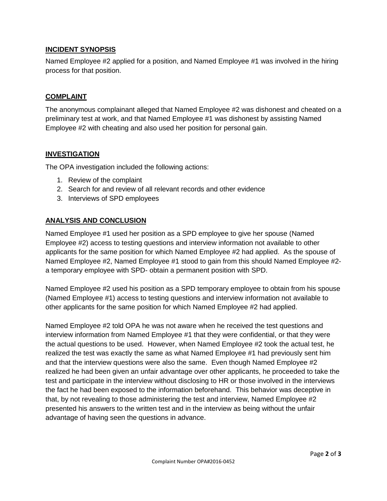## **INCIDENT SYNOPSIS**

Named Employee #2 applied for a position, and Named Employee #1 was involved in the hiring process for that position.

## **COMPLAINT**

The anonymous complainant alleged that Named Employee #2 was dishonest and cheated on a preliminary test at work, and that Named Employee #1 was dishonest by assisting Named Employee #2 with cheating and also used her position for personal gain.

### **INVESTIGATION**

The OPA investigation included the following actions:

- 1. Review of the complaint
- 2. Search for and review of all relevant records and other evidence
- 3. Interviews of SPD employees

## **ANALYSIS AND CONCLUSION**

Named Employee #1 used her position as a SPD employee to give her spouse (Named Employee #2) access to testing questions and interview information not available to other applicants for the same position for which Named Employee #2 had applied. As the spouse of Named Employee #2, Named Employee #1 stood to gain from this should Named Employee #2 a temporary employee with SPD- obtain a permanent position with SPD.

Named Employee #2 used his position as a SPD temporary employee to obtain from his spouse (Named Employee #1) access to testing questions and interview information not available to other applicants for the same position for which Named Employee #2 had applied.

Named Employee #2 told OPA he was not aware when he received the test questions and interview information from Named Employee #1 that they were confidential, or that they were the actual questions to be used. However, when Named Employee #2 took the actual test, he realized the test was exactly the same as what Named Employee #1 had previously sent him and that the interview questions were also the same. Even though Named Employee #2 realized he had been given an unfair advantage over other applicants, he proceeded to take the test and participate in the interview without disclosing to HR or those involved in the interviews the fact he had been exposed to the information beforehand. This behavior was deceptive in that, by not revealing to those administering the test and interview, Named Employee #2 presented his answers to the written test and in the interview as being without the unfair advantage of having seen the questions in advance.